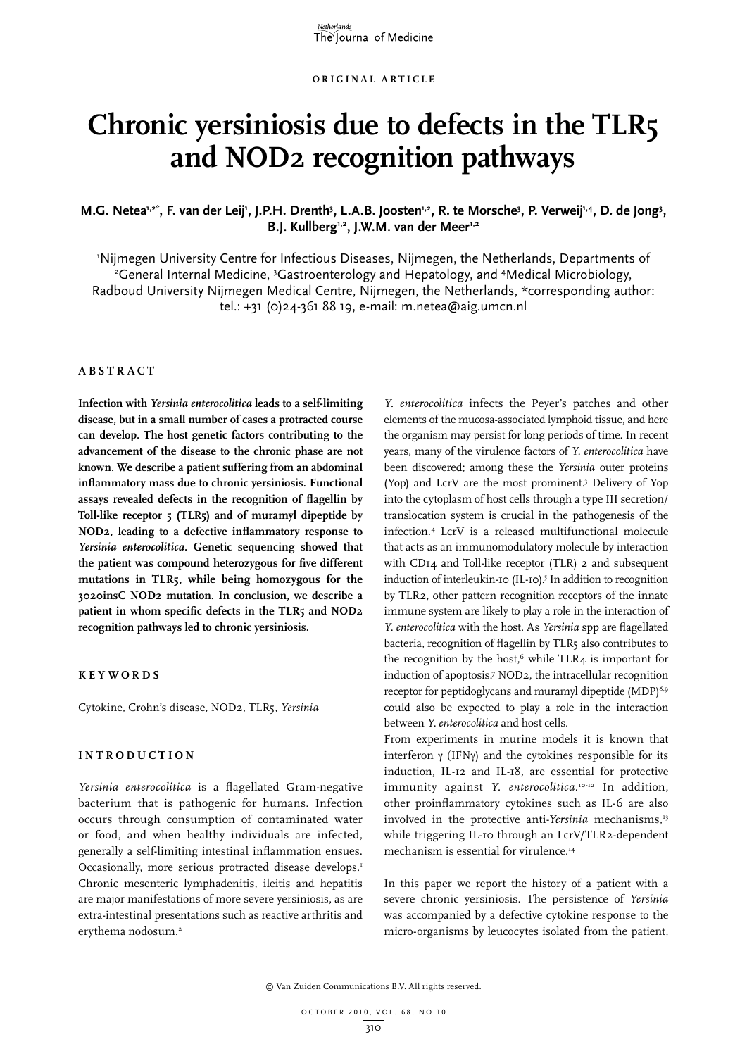# **Chronic yersiniosis due to defects in the TLR5 and NOD2 recognition pathways**

## M.G. Netea<sup>1,2\*</sup>, F. van der Leij', J.P.H. Drenth<sup>3</sup>, L.A.B. Joosten<sup>1,2</sup>, R. te Morsche<sup>3</sup>, P. Verweij<sup>1,4</sup>, D. de Jong<sup>3</sup>, B.J. Kullberg<sup>1,2</sup>, J.W.M. van der Meer<sup>1,2</sup>

Nijmegen University Centre for Infectious Diseases, Nijmegen, the Netherlands, Departments of<br>Ceneral Internal Medicine 3Gastroenterology and Henatology and Medical Microbiology General Internal Medicine, <sup>3</sup>Gastroenterology and Hepatology, and <sup>4</sup>Medical Microbiology, Radboud University Nijmegen Medical Centre, Nijmegen, the Netherlands, \*corresponding author: tel.: +31 (0)24-361 88 19, e-mail: m.netea@aig.umcn.nl

#### **ABSTRA C T**

**Infection with** *Yersinia enterocolitica* **leads to a self-limiting disease, but in a small number of cases a protracted course can develop. The host genetic factors contributing to the advancement of the disease to the chronic phase are not known. We describe a patient suffering from an abdominal inflammatory mass due to chronic yersiniosis. Functional assays revealed defects in the recognition of flagellin by Toll-like receptor 5 (TLR5) and of muramyl dipeptide by NOD2, leading to a defective inflammatory response to**  *Yersinia enterocolitica***. Genetic sequencing showed that the patient was compound heterozygous for five different mutations in TLR5, while being homozygous for the 3020insC NOD2 mutation. In conclusion, we describe a patient in whom specific defects in the TLR5 and NOD2 recognition pathways led to chronic yersiniosis.** 

#### **K e y w o r d s**

Cytokine, Crohn's disease, NOD2, TLR5, *Yersinia*

#### **INTRODU C TION**

*Yersinia enterocolitica* is a flagellated Gram-negative bacterium that is pathogenic for humans. Infection occurs through consumption of contaminated water or food, and when healthy individuals are infected, generally a self-limiting intestinal inflammation ensues. Occasionally, more serious protracted disease develops.<sup>1</sup> Chronic mesenteric lymphadenitis, ileitis and hepatitis are major manifestations of more severe yersiniosis, as are extra-intestinal presentations such as reactive arthritis and erythema nodosum.<sup>2</sup>

*Y. enterocolitica* infects the Peyer's patches and other elements of the mucosa-associated lymphoid tissue, and here the organism may persist for long periods of time. In recent years, many of the virulence factors of *Y. enterocolitica* have been discovered; among these the *Yersinia* outer proteins (Yop) and LcrV are the most prominent.3 Delivery of Yop into the cytoplasm of host cells through a type III secretion/ translocation system is crucial in the pathogenesis of the infection.4 LcrV is a released multifunctional molecule that acts as an immunomodulatory molecule by interaction with CD14 and Toll-like receptor (TLR) 2 and subsequent induction of interleukin-10 (IL-10).<sup>5</sup> In addition to recognition by TLR2, other pattern recognition receptors of the innate immune system are likely to play a role in the interaction of *Y. enterocolitica* with the host. As *Yersinia* spp are flagellated bacteria, recognition of flagellin by TLR5 also contributes to the recognition by the host, $6$  while TLR4 is important for induction of apoptosis.7 NOD2, the intracellular recognition receptor for peptidoglycans and muramyl dipeptide (MDP)<sup>8,9</sup> could also be expected to play a role in the interaction between *Y. enterocolitica* and host cells.

From experiments in murine models it is known that interferon  $\gamma$  (IFN $\gamma$ ) and the cytokines responsible for its induction, IL-12 and IL-18, are essential for protective immunity against *Y. enterocolitica*. 10-12 In addition, other proinflammatory cytokines such as IL-6 are also involved in the protective anti-*Yersinia* mechanisms,<sup>13</sup> while triggering IL-10 through an LcrV/TLR2-dependent mechanism is essential for virulence.<sup>14</sup>

In this paper we report the history of a patient with a severe chronic yersiniosis. The persistence of *Yersinia* was accompanied by a defective cytokine response to the micro-organisms by leucocytes isolated from the patient,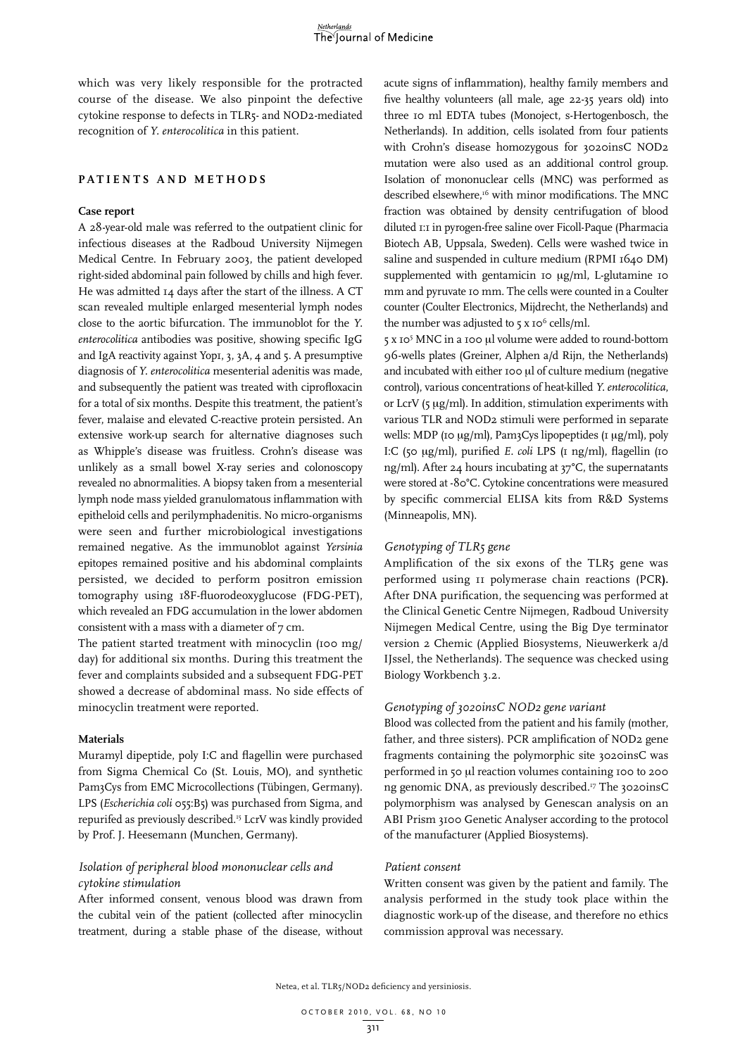which was very likely responsible for the protracted course of the disease. We also pinpoint the defective cytokine response to defects in TLR5- and NOD2-mediated recognition of *Y. enterocolitica* in this patient.

#### **PATIENTS AND M ETHODS**

### **Case report**

A 28-year-old male was referred to the outpatient clinic for infectious diseases at the Radboud University Nijmegen Medical Centre. In February 2003, the patient developed right-sided abdominal pain followed by chills and high fever. He was admitted 14 days after the start of the illness. A CT scan revealed multiple enlarged mesenterial lymph nodes close to the aortic bifurcation. The immunoblot for the *Y. enterocolitica* antibodies was positive, showing specific IgG and IgA reactivity against Yop1, 3, 3A, 4 and 5. A presumptive diagnosis of *Y. enterocolitica* mesenterial adenitis was made, and subsequently the patient was treated with ciprofloxacin for a total of six months. Despite this treatment, the patient's fever, malaise and elevated C-reactive protein persisted. An extensive work-up search for alternative diagnoses such as Whipple's disease was fruitless. Crohn's disease was unlikely as a small bowel X-ray series and colonoscopy revealed no abnormalities. A biopsy taken from a mesenterial lymph node mass yielded granulomatous inflammation with epitheloid cells and perilymphadenitis. No micro-organisms were seen and further microbiological investigations remained negative. As the immunoblot against *Yersinia* epitopes remained positive and his abdominal complaints persisted, we decided to perform positron emission tomography using 18F-fluorodeoxyglucose (FDG-PET), which revealed an FDG accumulation in the lower abdomen consistent with a mass with a diameter of 7 cm.

The patient started treatment with minocyclin (100 mg/ day) for additional six months. During this treatment the fever and complaints subsided and a subsequent FDG-PET showed a decrease of abdominal mass. No side effects of minocyclin treatment were reported.

#### **Materials**

Muramyl dipeptide, poly I:C and flagellin were purchased from Sigma Chemical Co (St. Louis, MO), and synthetic Pam<sub>3</sub>Cys from EMC Microcollections (Tübingen, Germany). LPS (*Escherichia coli* 055:B5) was purchased from Sigma, and repurifed as previously described.15 LcrV was kindly provided by Prof. J. Heesemann (Munchen, Germany).

## *Isolation of peripheral blood mononuclear cells and cytokine stimulation*

After informed consent, venous blood was drawn from the cubital vein of the patient (collected after minocyclin treatment, during a stable phase of the disease, without

acute signs of inflammation), healthy family members and five healthy volunteers (all male, age 22-35 years old) into three 10 ml EDTA tubes (Monoject, s-Hertogenbosch, the Netherlands). In addition, cells isolated from four patients with Crohn's disease homozygous for 3020insC NOD2 mutation were also used as an additional control group. Isolation of mononuclear cells (MNC) was performed as described elsewhere,<sup>16</sup> with minor modifications. The MNC fraction was obtained by density centrifugation of blood diluted 1:1 in pyrogen-free saline over Ficoll-Paque (Pharmacia Biotech AB, Uppsala, Sweden). Cells were washed twice in saline and suspended in culture medium (RPMI 1640 DM) supplemented with gentamicin 10 µg/ml, L-glutamine 10 mm and pyruvate 10 mm. The cells were counted in a Coulter counter (Coulter Electronics, Mijdrecht, the Netherlands) and the number was adjusted to  $5 \times 10^6$  cells/ml.

5 x 10<sup>5</sup> MNC in a 100 µl volume were added to round-bottom 96-wells plates (Greiner, Alphen a/d Rijn, the Netherlands) and incubated with either 100 µl of culture medium (negative control), various concentrations of heat-killed *Y. enterocolitica*, or LcrV (5 µg/ml). In addition, stimulation experiments with various TLR and NOD2 stimuli were performed in separate wells: MDP (10  $\mu$ g/ml), Pam3Cys lipopeptides (1  $\mu$ g/ml), poly I:C (50 μg/ml), purified *E. coli* LPS (1 ng/ml), flagellin (10 ng/ml). After 24 hours incubating at 37°C, the supernatants were stored at -80°C. Cytokine concentrations were measured by specific commercial ELISA kits from R&D Systems (Minneapolis, MN).

#### *Genotyping of TLR5 gene*

Amplification of the six exons of the TLR5 gene was performed using 11 polymerase chain reactions (PCR**).** After DNA purification, the sequencing was performed at the Clinical Genetic Centre Nijmegen, Radboud University Nijmegen Medical Centre, using the Big Dye terminator version 2 Chemic (Applied Biosystems, Nieuwerkerk a/d IJssel, the Netherlands). The sequence was checked using Biology Workbench 3.2.

#### *Genotyping of 3020insC NOD2 gene variant*

Blood was collected from the patient and his family (mother, father, and three sisters). PCR amplification of NOD2 gene fragments containing the polymorphic site 3020insC was performed in 50 µl reaction volumes containing 100 to 200 ng genomic DNA, as previously described.<sup>17</sup> The 3020insC polymorphism was analysed by Genescan analysis on an ABI Prism 3100 Genetic Analyser according to the protocol of the manufacturer (Applied Biosystems).

#### *Patient consent*

Written consent was given by the patient and family. The analysis performed in the study took place within the diagnostic work-up of the disease, and therefore no ethics commission approval was necessary.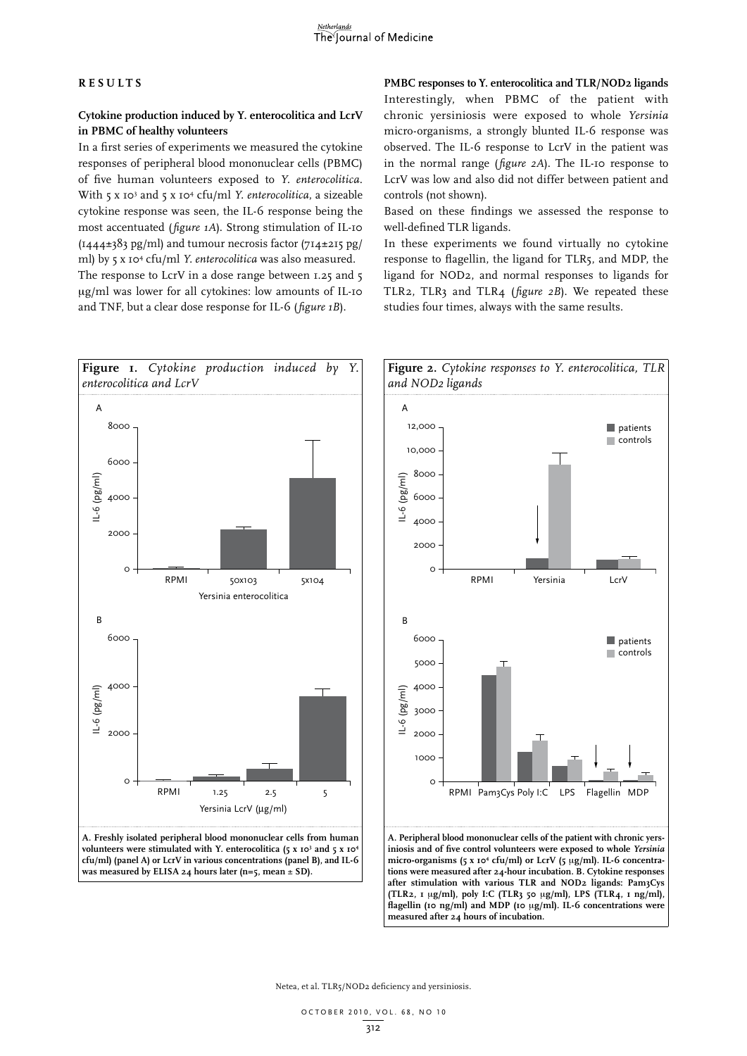#### **RESULTS**

## **Cytokine production induced by Y. enterocolitica and LcrV in PBMC of healthy volunteers**

In a first series of experiments we measured the cytokine responses of peripheral blood mononuclear cells (PBMC) of five human volunteers exposed to *Y. enterocolitica*. With 5 x 103 and 5 x 104 cfu/ml *Y. enterocolitica*, a sizeable cytokine response was seen, the IL-6 response being the most accentuated (*figure 1A*). Strong stimulation of IL-10 (1444±383 pg/ml) and tumour necrosis factor (714±215 pg/ ml) by 5 x 104 cfu/ml *Y. enterocolitica* was also measured. The response to LcrV in a dose range between 1.25 and 5 µg/ml was lower for all cytokines: low amounts of IL-10 and TNF, but a clear dose response for IL-6 (*figure 1B*).

**PMBC responses to Y. enterocolitica and TLR/NOD2 ligands** Interestingly, when PBMC of the patient with chronic yersiniosis were exposed to whole *Yersinia* micro-organisms, a strongly blunted IL-6 response was observed. The IL-6 response to LcrV in the patient was in the normal range (*figure 2A*). The IL-10 response to LcrV was low and also did not differ between patient and controls (not shown).

Based on these findings we assessed the response to well-defined TLR ligands.

In these experiments we found virtually no cytokine response to flagellin, the ligand for TLR5, and MDP, the ligand for NOD2, and normal responses to ligands for TLR2, TLR3 and TLR4 (*figure 2B*). We repeated these studies four times, always with the same results.







micro-organisms (5 x 10<sup>4</sup> cfu/ml) or LcrV (5 µg/ml). IL-6 concentra**tions were measured after 24-hour incubation. B. Cytokine responses after stimulation with various TLR and NOD2 ligands: Pam3Cys (TLR2, 1** m**g/ml), poly I:C (TLR3 50** m**g/ml), LPS (TLR4, 1 ng/ml), flagellin (10 ng/ml) and MDP (10** m**g/ml). IL-6 concentrations were measured after 24 hours of incubation.**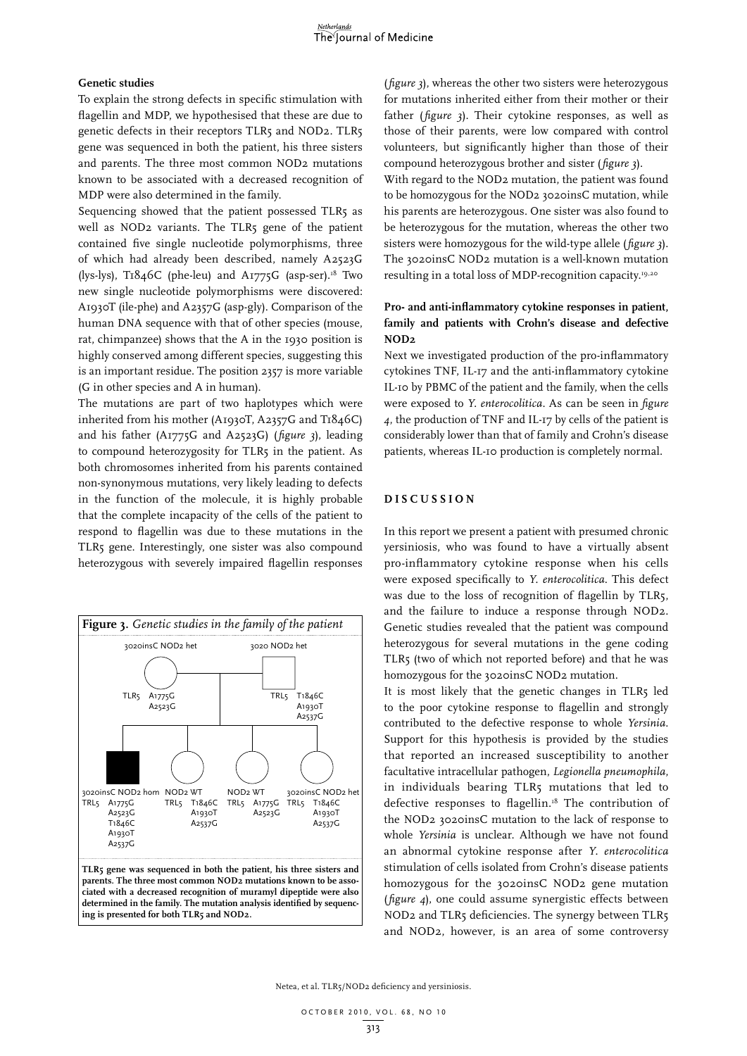#### **Genetic studies**

To explain the strong defects in specific stimulation with flagellin and MDP, we hypothesised that these are due to genetic defects in their receptors TLR5 and NOD2. TLR5 gene was sequenced in both the patient, his three sisters and parents. The three most common NOD2 mutations known to be associated with a decreased recognition of MDP were also determined in the family.

Sequencing showed that the patient possessed TLR5 as well as NOD2 variants. The TLR5 gene of the patient contained five single nucleotide polymorphisms, three of which had already been described, namely A2523G (lys-lys), T1846C (phe-leu) and A1775G (asp-ser).<sup>18</sup> Two new single nucleotide polymorphisms were discovered: A1930T (ile-phe) and A2357G (asp-gly). Comparison of the human DNA sequence with that of other species (mouse, rat, chimpanzee) shows that the A in the 1930 position is highly conserved among different species, suggesting this is an important residue. The position 2357 is more variable (G in other species and A in human).

The mutations are part of two haplotypes which were inherited from his mother (A1930T, A2357G and T1846C) and his father (A1775G and A2523G) (*figure 3*), leading to compound heterozygosity for TLR5 in the patient. As both chromosomes inherited from his parents contained non-synonymous mutations, very likely leading to defects in the function of the molecule, it is highly probable that the complete incapacity of the cells of the patient to respond to flagellin was due to these mutations in the TLR5 gene. Interestingly, one sister was also compound heterozygous with severely impaired flagellin responses



(*figure 3*), whereas the other two sisters were heterozygous for mutations inherited either from their mother or their father (*figure 3*). Their cytokine responses, as well as those of their parents, were low compared with control volunteers, but significantly higher than those of their compound heterozygous brother and sister (*figure 3*).

With regard to the NOD2 mutation, the patient was found to be homozygous for the NOD2 3020insC mutation, while his parents are heterozygous. One sister was also found to be heterozygous for the mutation, whereas the other two sisters were homozygous for the wild-type allele (*figure 3*). The 3020insC NOD2 mutation is a well-known mutation resulting in a total loss of MDP-recognition capacity.19,20

## **Pro- and anti-inflammatory cytokine responses in patient, family and patients with Crohn's disease and defective NOD2**

Next we investigated production of the pro-inflammatory cytokines TNF, IL-17 and the anti-inflammatory cytokine IL-10 by PBMC of the patient and the family, when the cells were exposed to *Y. enterocolitica*. As can be seen in *figure 4*, the production of TNF and IL-17 by cells of the patient is considerably lower than that of family and Crohn's disease patients, whereas IL-10 production is completely normal.

#### **DIS C USSION**

In this report we present a patient with presumed chronic yersiniosis, who was found to have a virtually absent pro-inflammatory cytokine response when his cells were exposed specifically to *Y. enterocolitica*. This defect was due to the loss of recognition of flagellin by TLR5, and the failure to induce a response through NOD2. Genetic studies revealed that the patient was compound heterozygous for several mutations in the gene coding TLR5 (two of which not reported before) and that he was homozygous for the 3020insC NOD2 mutation.

It is most likely that the genetic changes in TLR5 led to the poor cytokine response to flagellin and strongly contributed to the defective response to whole *Yersinia*. Support for this hypothesis is provided by the studies that reported an increased susceptibility to another facultative intracellular pathogen, *Legionella pneumophila*, in individuals bearing TLR5 mutations that led to defective responses to flagellin.<sup>18</sup> The contribution of the NOD2 3020insC mutation to the lack of response to whole *Yersinia* is unclear. Although we have not found an abnormal cytokine response after *Y. enterocolitica* stimulation of cells isolated from Crohn's disease patients homozygous for the 3020insC NOD2 gene mutation (*figure 4*), one could assume synergistic effects between NOD2 and TLR5 deficiencies. The synergy between TLR5 and NOD2, however, is an area of some controversy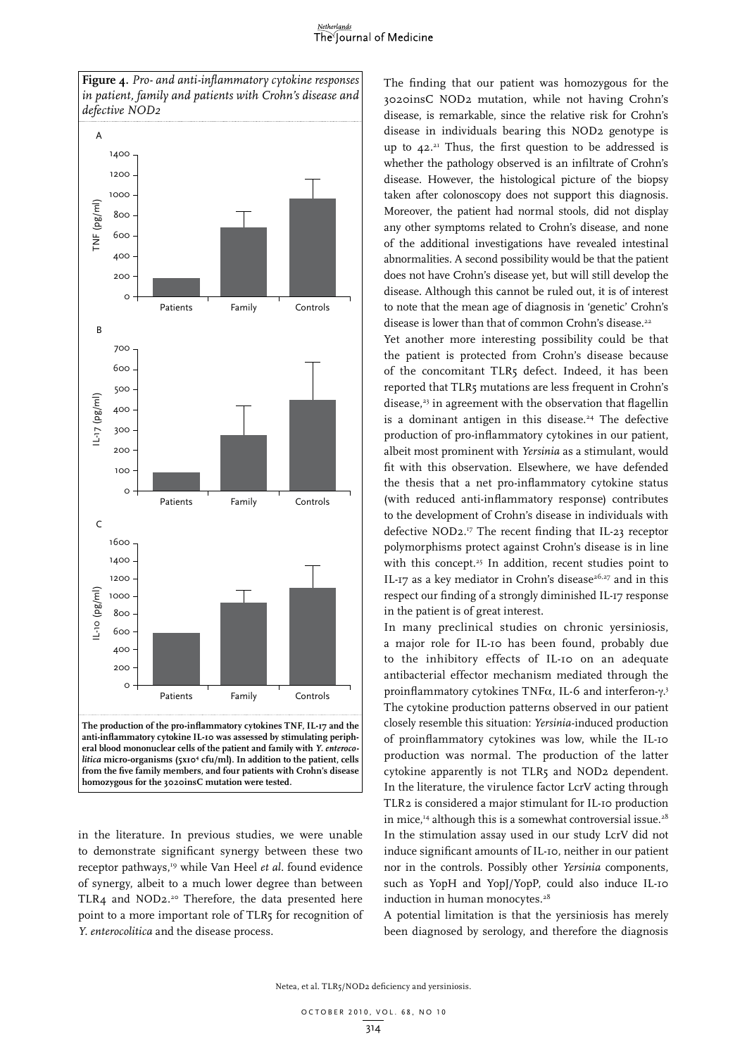#### Netherlands The Journal of Medicine



in the literature. In previous studies, we were unable to demonstrate significant synergy between these two receptor pathways,<sup>19</sup> while Van Heel *et al.* found evidence of synergy, albeit to a much lower degree than between TLR4 and NOD2.<sup>20</sup> Therefore, the data presented here point to a more important role of TLR5 for recognition of *Y. enterocolitica* and the disease process.

The finding that our patient was homozygous for the 3020insC NOD2 mutation, while not having Crohn's disease, is remarkable, since the relative risk for Crohn's disease in individuals bearing this NOD2 genotype is up to  $42.^{21}$  Thus, the first question to be addressed is whether the pathology observed is an infiltrate of Crohn's disease. However, the histological picture of the biopsy taken after colonoscopy does not support this diagnosis. Moreover, the patient had normal stools, did not display any other symptoms related to Crohn's disease, and none of the additional investigations have revealed intestinal abnormalities. A second possibility would be that the patient does not have Crohn's disease yet, but will still develop the disease. Although this cannot be ruled out, it is of interest to note that the mean age of diagnosis in 'genetic' Crohn's disease is lower than that of common Crohn's disease.<sup>22</sup>

Yet another more interesting possibility could be that the patient is protected from Crohn's disease because of the concomitant TLR5 defect. Indeed, it has been reported that TLR5 mutations are less frequent in Crohn's disease, $23$  in agreement with the observation that flagellin is a dominant antigen in this disease.<sup>24</sup> The defective production of pro-inflammatory cytokines in our patient, albeit most prominent with *Yersinia* as a stimulant, would fit with this observation. Elsewhere, we have defended the thesis that a net pro-inflammatory cytokine status (with reduced anti-inflammatory response) contributes to the development of Crohn's disease in individuals with defective NOD2.17 The recent finding that IL-23 receptor polymorphisms protect against Crohn's disease is in line with this concept.<sup>25</sup> In addition, recent studies point to IL-17 as a key mediator in Crohn's disease<sup>26,27</sup> and in this respect our finding of a strongly diminished IL-17 response in the patient is of great interest.

In many preclinical studies on chronic yersiniosis, a major role for IL-10 has been found, probably due to the inhibitory effects of IL-10 on an adequate antibacterial effector mechanism mediated through the proinflammatory cytokines TNF $\alpha$ , IL-6 and interferon- $\gamma$ .<sup>3</sup> The cytokine production patterns observed in our patient closely resemble this situation: *Yersinia*-induced production of proinflammatory cytokines was low, while the IL-10 production was normal. The production of the latter cytokine apparently is not TLR5 and NOD2 dependent. In the literature, the virulence factor LcrV acting through TLR2 is considered a major stimulant for IL-10 production in mice,<sup>14</sup> although this is a somewhat controversial issue.<sup>28</sup> In the stimulation assay used in our study LcrV did not induce significant amounts of IL-10, neither in our patient nor in the controls. Possibly other *Yersinia* components, such as YopH and YopJ/YopP, could also induce IL-10 induction in human monocytes.<sup>28</sup>

A potential limitation is that the yersiniosis has merely been diagnosed by serology, and therefore the diagnosis